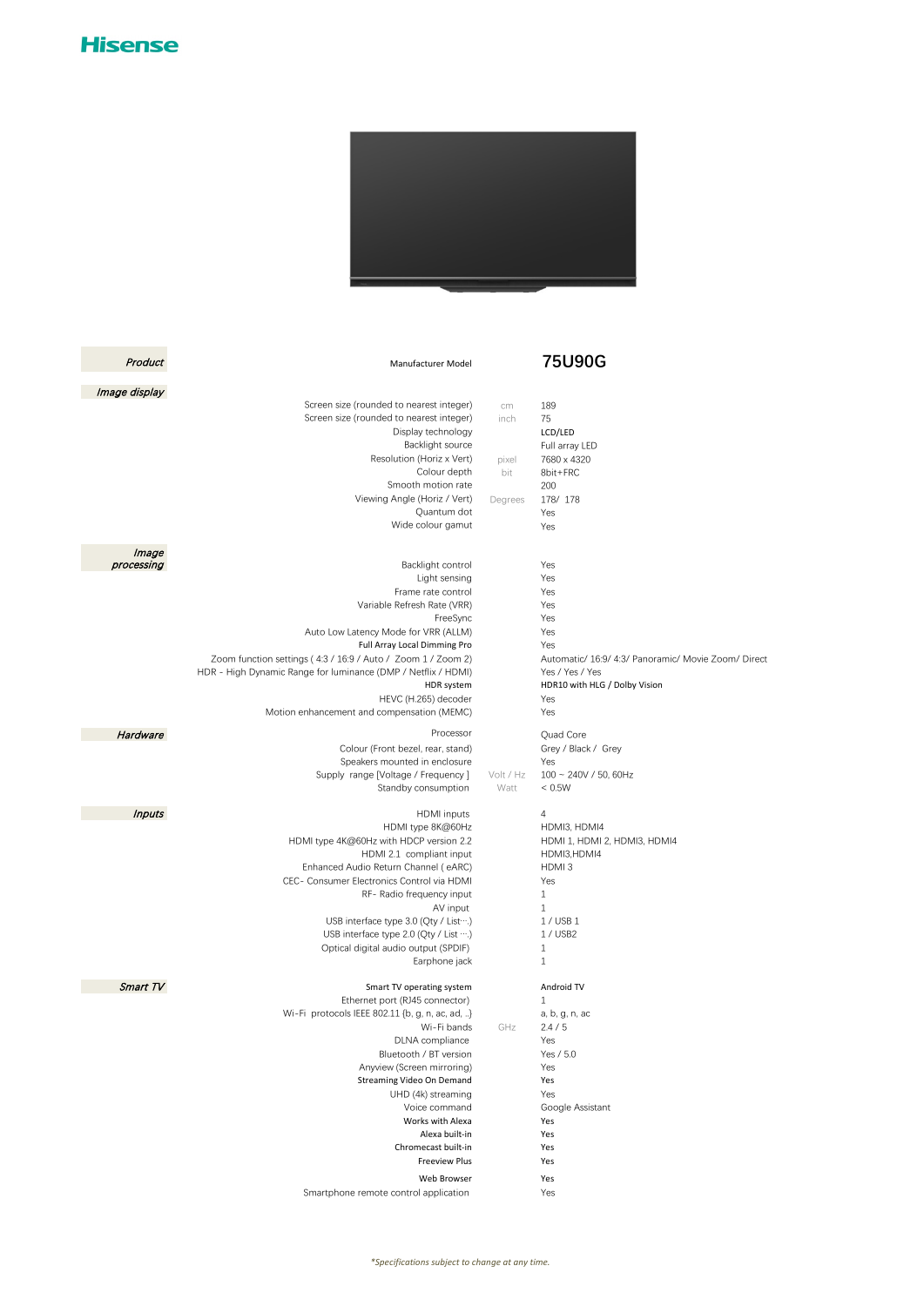## **Hisense**



| Product       | Manufacturer Model                                                                                                                                                                                                                                                                                                                                                                               |                                       | 75U90G                                                                                                                                                                 |
|---------------|--------------------------------------------------------------------------------------------------------------------------------------------------------------------------------------------------------------------------------------------------------------------------------------------------------------------------------------------------------------------------------------------------|---------------------------------------|------------------------------------------------------------------------------------------------------------------------------------------------------------------------|
| Image display |                                                                                                                                                                                                                                                                                                                                                                                                  |                                       |                                                                                                                                                                        |
|               | Screen size (rounded to nearest integer)<br>Screen size (rounded to nearest integer)<br>Display technology<br>Backlight source<br>Resolution (Horiz x Vert)<br>Colour depth<br>Smooth motion rate<br>Viewing Angle (Horiz / Vert)<br>Quantum dot<br>Wide colour gamut                                                                                                                            | cm<br>inch<br>pixel<br>bit<br>Degrees | 189<br>75<br>LCD/LED<br>Full array LED<br>7680 x 4320<br>8bit+FRC<br>200<br>178/178<br>Yes<br>Yes                                                                      |
| Image         |                                                                                                                                                                                                                                                                                                                                                                                                  |                                       |                                                                                                                                                                        |
| processing    | Backlight control<br>Light sensing<br>Frame rate control<br>Variable Refresh Rate (VRR)<br>FreeSync<br>Auto Low Latency Mode for VRR (ALLM)<br>Full Array Local Dimming Pro<br>Zoom function settings (4:3 / 16:9 / Auto / Zoom 1 / Zoom 2)<br>HDR - High Dynamic Range for luminance (DMP / Netflix / HDMI)<br>HDR system<br>HEVC (H.265) decoder<br>Motion enhancement and compensation (MEMC) |                                       | Yes<br>Yes<br>Yes<br>Yes<br>Yes<br>Yes<br>Yes<br>Automatic/ 16:9/ 4:3/ Panoramic/ Movie Zoom/ Direct<br>Yes / Yes / Yes<br>HDR10 with HLG / Dolby Vision<br>Yes<br>Yes |
| Hardware      | Processor                                                                                                                                                                                                                                                                                                                                                                                        |                                       | Quad Core                                                                                                                                                              |
|               | Colour (Front bezel, rear, stand)<br>Speakers mounted in enclosure<br>Supply range [Voltage / Frequency]<br>Standby consumption                                                                                                                                                                                                                                                                  | Volt / Hz<br>Watt                     | Grey / Black / Grey<br>Yes<br>$100 - 240V / 50$ , 60Hz<br>< 0.5W                                                                                                       |
| <b>Inputs</b> | <b>HDMI</b> inputs                                                                                                                                                                                                                                                                                                                                                                               |                                       | 4                                                                                                                                                                      |
|               | HDMI type 8K@60Hz<br>HDMI type 4K@60Hz with HDCP version 2.2<br>HDMI 2.1 compliant input<br>Enhanced Audio Return Channel (eARC)<br>CEC- Consumer Electronics Control via HDMI<br>RF- Radio frequency input<br>AV input<br>USB interface type 3.0 (Qty / List  )<br>USB interface type 2.0 (Qty / List ….)<br>Optical digital audio output (SPDIF)<br>Earphone jack                              |                                       | HDMI3, HDMI4<br>HDMI 1, HDMI 2, HDMI3, HDMI4<br>HDMI3,HDMI4<br>HDMI3<br>Yes<br>$\mathbf{1}$<br>$\mathbf{1}$<br>1/USB1<br>1 / USB2<br>$1\,$<br>$1\,$                    |
| Smart TV      | Smart TV operating system                                                                                                                                                                                                                                                                                                                                                                        |                                       | Android TV                                                                                                                                                             |
|               | Ethernet port (RJ45 connector)<br>Wi-Fi protocols IEEE 802.11 {b, g, n, ac, ad, }<br>Wi-Fi bands<br>DLNA compliance<br>Bluetooth / BT version<br>Anyview (Screen mirroring)<br>Streaming Video On Demand<br>UHD (4k) streaming<br>Voice command<br>Works with Alexa<br>Alexa built-in<br>Chromecast built-in<br><b>Freeview Plus</b><br>Web Browser                                              | GHz                                   | 1<br>a, b, g, n, ac<br>2.4/5<br>Yes<br>Yes / 5.0<br>Yes<br>Yes<br>Yes<br>Google Assistant<br>Yes<br>Yes<br>Yes<br>Yes<br>Yes                                           |
|               | Smartphone remote control application                                                                                                                                                                                                                                                                                                                                                            |                                       | Yes                                                                                                                                                                    |